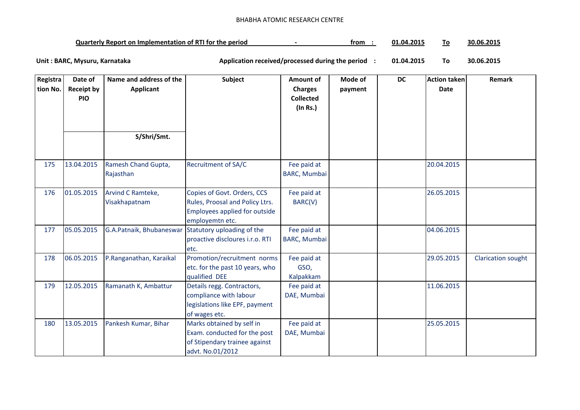## BHABHA ATOMIC RESEARCH CENTRE

| Quarterly Report on Implementation of RTI for the period | trom | 01.04.2015 | 30.06.2015 |
|----------------------------------------------------------|------|------------|------------|
|                                                          |      |            |            |

01.04.2015 To 30.06.2015Unit : BARC, Mysuru, Karnataka Application received/processed during the period :

| Registra | Date of           | Name and address of the  | Subject                                                        | Amount of                  | Mode of | <b>DC</b> | <b>Action taken</b> | Remark                    |
|----------|-------------------|--------------------------|----------------------------------------------------------------|----------------------------|---------|-----------|---------------------|---------------------------|
| tion No. | <b>Receipt by</b> | <b>Applicant</b>         |                                                                | <b>Charges</b>             | payment |           | <b>Date</b>         |                           |
|          | PIO               |                          |                                                                | <b>Collected</b>           |         |           |                     |                           |
|          |                   |                          |                                                                | (In Rs.)                   |         |           |                     |                           |
|          |                   |                          |                                                                |                            |         |           |                     |                           |
|          |                   | S/Shri/Smt.              |                                                                |                            |         |           |                     |                           |
|          |                   |                          |                                                                |                            |         |           |                     |                           |
|          |                   |                          |                                                                |                            |         |           |                     |                           |
| 175      | 13.04.2015        | Ramesh Chand Gupta,      | Recruitment of SA/C                                            | Fee paid at                |         |           | 20.04.2015          |                           |
|          |                   | Rajasthan                |                                                                | <b>BARC, Mumbai</b>        |         |           |                     |                           |
|          | 01.05.2015        | Arvind C Ramteke,        |                                                                |                            |         |           | 26.05.2015          |                           |
| 176      |                   | Visakhapatnam            | Copies of Govt. Orders, CCS<br>Rules, Proosal and Policy Ltrs. | Fee paid at<br>BARC(V)     |         |           |                     |                           |
|          |                   |                          | Employees applied for outside                                  |                            |         |           |                     |                           |
|          |                   |                          | employemtn etc.                                                |                            |         |           |                     |                           |
| 177      | 05.05.2015        | G.A.Patnaik, Bhubaneswar | Statutory uploading of the                                     | Fee paid at                |         |           | 04.06.2015          |                           |
|          |                   |                          | proactive discloures i.r.o. RTI                                | BARC, Mumbai               |         |           |                     |                           |
|          |                   |                          | etc.                                                           |                            |         |           |                     |                           |
| 178      | 06.05.2015        | P.Ranganathan, Karaikal  | Promotion/recruitment norms                                    | Fee paid at                |         |           | 29.05.2015          | <b>Clarication sought</b> |
|          |                   |                          | etc. for the past 10 years, who                                | GSO,                       |         |           |                     |                           |
|          |                   |                          | qualified DEE                                                  | Kalpakkam                  |         |           |                     |                           |
| 179      | 12.05.2015        | Ramanath K, Ambattur     | Details regg. Contractors,<br>compliance with labour           | Fee paid at<br>DAE, Mumbai |         |           | 11.06.2015          |                           |
|          |                   |                          | legislations like EPF, payment                                 |                            |         |           |                     |                           |
|          |                   |                          | of wages etc.                                                  |                            |         |           |                     |                           |
| 180      | 13.05.2015        | Pankesh Kumar, Bihar     | Marks obtained by self in                                      | Fee paid at                |         |           | 25.05.2015          |                           |
|          |                   |                          | Exam. conducted for the post                                   | DAE, Mumbai                |         |           |                     |                           |
|          |                   |                          | of Stipendary trainee against                                  |                            |         |           |                     |                           |
|          |                   |                          | advt. No.01/2012                                               |                            |         |           |                     |                           |